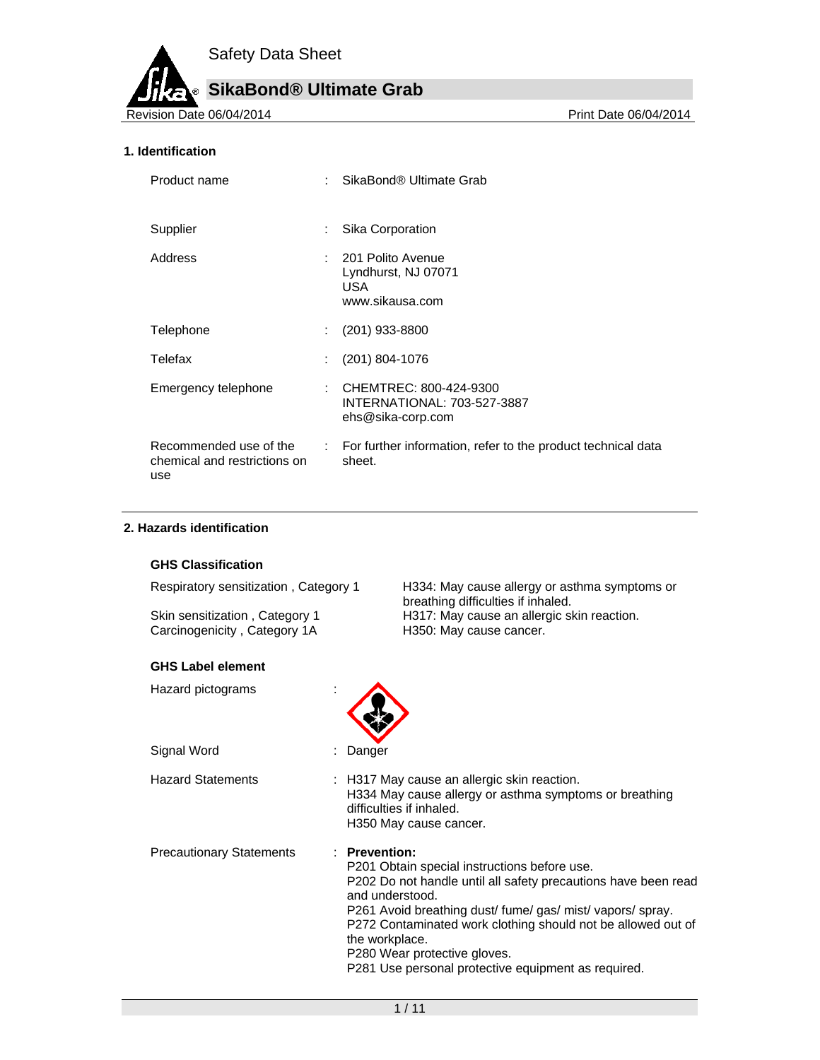# **SikaBond® Ultimate Grab**

Revision Date 06/04/2014 **Print Date 06/04/2014** Print Date 06/04/2014

# **1. Identification**

| Product name                                                  |                              | SikaBond® Ultimate Grab                                                             |
|---------------------------------------------------------------|------------------------------|-------------------------------------------------------------------------------------|
| Supplier                                                      | ÷                            | Sika Corporation                                                                    |
| Address                                                       |                              | : 201 Polito Avenue<br>Lyndhurst, NJ 07071<br>USA.<br>www.sikausa.com               |
| Telephone                                                     | ÷.                           | $(201)$ 933-8800                                                                    |
| Telefax                                                       |                              | $(201)$ 804-1076                                                                    |
| Emergency telephone                                           |                              | : CHEMTREC: 800-424-9300<br><b>INTERNATIONAL: 703-527-3887</b><br>ehs@sika-corp.com |
| Recommended use of the<br>chemical and restrictions on<br>use | $\mathcal{L}_{\mathrm{max}}$ | For further information, refer to the product technical data<br>sheet.              |

## **2. Hazards identification**

#### **GHS Classification**

Respiratory sensitization , Category 1 H334: May cause allergy or asthma symptoms or

Skin sensitization, Category 1 **H317:** May cause an allergic skin reaction. Carcinogenicity, Category 1A H350: May cause cancer.

#### **GHS Label element**

Hazard pictograms :



Hazard Statements : H317 May cause an allergic skin reaction. H334 May cause allergy or asthma symptoms or breathing difficulties if inhaled. H350 May cause cancer. Precautionary Statements : **Prevention:**  P201 Obtain special instructions before use.

P202 Do not handle until all safety precautions have been read and understood. P261 Avoid breathing dust/ fume/ gas/ mist/ vapors/ spray.

P272 Contaminated work clothing should not be allowed out of the workplace.

breathing difficulties if inhaled.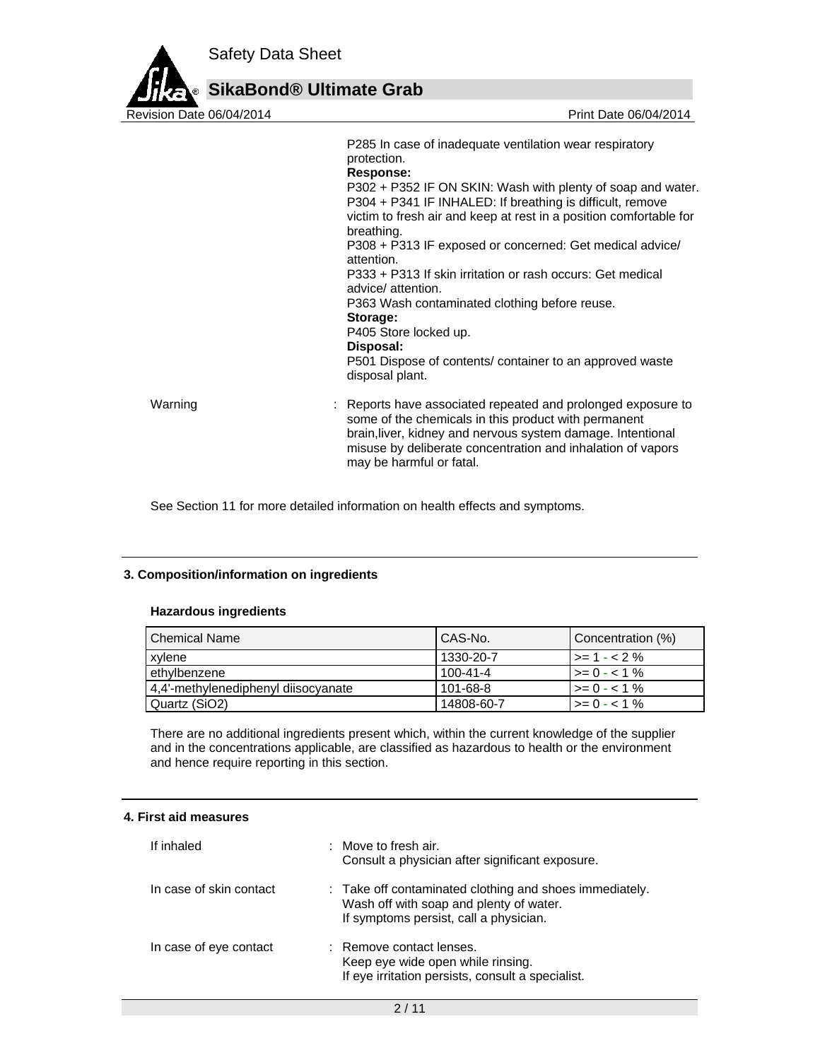

P285 In case of inadequate ventilation wear respiratory protection. **Response:**  P302 + P352 IF ON SKIN: Wash with plenty of soap and water. P304 + P341 IF INHALED: If breathing is difficult, remove victim to fresh air and keep at rest in a position comfortable for breathing. P308 + P313 IF exposed or concerned: Get medical advice/ attention. P333 + P313 If skin irritation or rash occurs: Get medical advice/ attention. P363 Wash contaminated clothing before reuse. **Storage:**  P405 Store locked up. **Disposal:**  P501 Dispose of contents/ container to an approved waste disposal plant. Warning **Example 20 Starts 1 and 20 Starts 1 and 2** : Reports have associated repeated and prolonged exposure to some of the chemicals in this product with permanent brain,liver, kidney and nervous system damage. Intentional misuse by deliberate concentration and inhalation of vapors may be harmful or fatal.

See Section 11 for more detailed information on health effects and symptoms.

# **3. Composition/information on ingredients**

## **Hazardous ingredients**

| l Chemical Name⊹                    | CAS-No.        | Concentration (%)         |
|-------------------------------------|----------------|---------------------------|
| xylene                              | 1330-20-7      | $\vert \rangle = 1 - 2\%$ |
| ethylbenzene                        | $100 - 41 - 4$ | $>= 0 - 1\%$              |
| 4,4'-methylenediphenyl diisocyanate | 101-68-8       | $\ge$ = 0 - < 1 %         |
| Quartz (SiO2)                       | 14808-60-7     | $\geq$ 0 - < 1 %          |

There are no additional ingredients present which, within the current knowledge of the supplier and in the concentrations applicable, are classified as hazardous to health or the environment and hence require reporting in this section.

# **4. First aid measures**

| If inhaled              | : Move to fresh air.<br>Consult a physician after significant exposure.                                                                      |
|-------------------------|----------------------------------------------------------------------------------------------------------------------------------------------|
| In case of skin contact | : Take off contaminated clothing and shoes immediately.<br>Wash off with soap and plenty of water.<br>If symptoms persist, call a physician. |
| In case of eye contact  | : Remove contact lenses.<br>Keep eye wide open while rinsing.<br>If eye irritation persists, consult a specialist.                           |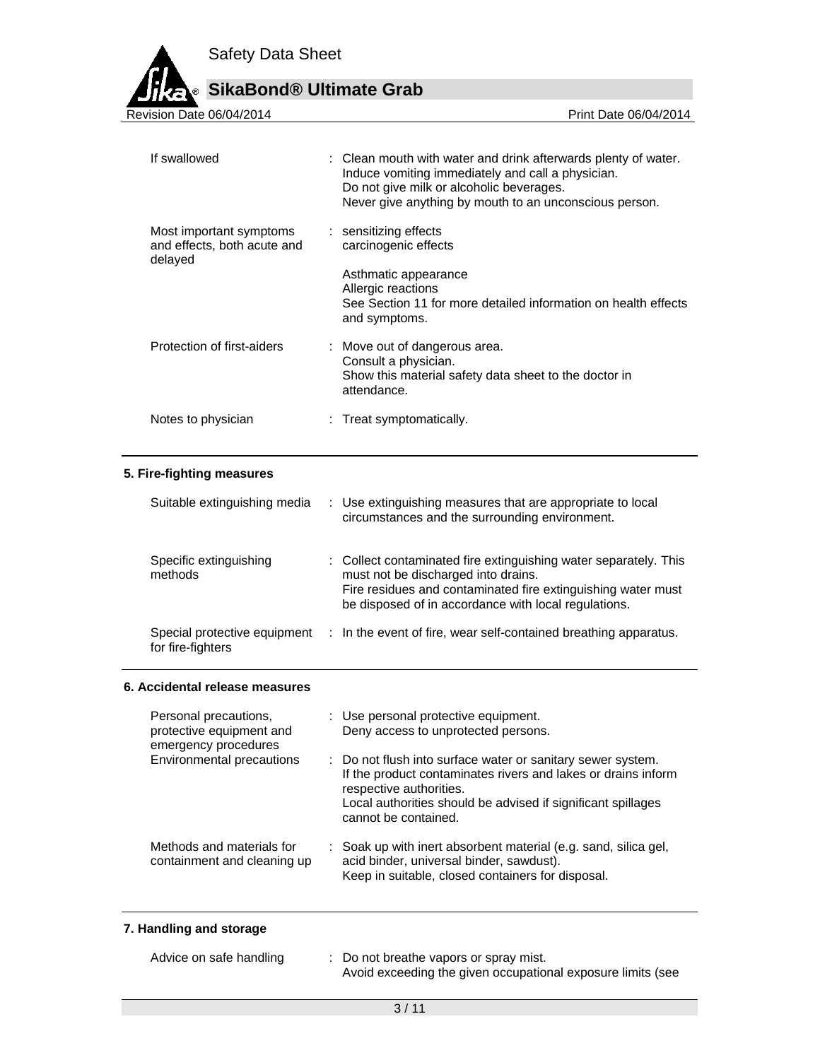

# **SikaBond® Ultimate Grab**

| If swallowed                                                      | : Clean mouth with water and drink afterwards plenty of water.<br>Induce vomiting immediately and call a physician.<br>Do not give milk or alcoholic beverages.<br>Never give anything by mouth to an unconscious person. |
|-------------------------------------------------------------------|---------------------------------------------------------------------------------------------------------------------------------------------------------------------------------------------------------------------------|
| Most important symptoms<br>and effects, both acute and<br>delayed | : sensitizing effects<br>carcinogenic effects<br>Asthmatic appearance<br>Allergic reactions<br>See Section 11 for more detailed information on health effects<br>and symptoms.                                            |
| Protection of first-aiders                                        | : Move out of dangerous area.<br>Consult a physician.<br>Show this material safety data sheet to the doctor in<br>attendance.                                                                                             |
| Notes to physician                                                | : Treat symptomatically.                                                                                                                                                                                                  |
| 5. Fire-fighting measures                                         |                                                                                                                                                                                                                           |
| Suitable extinguishing media                                      | : Use extinguishing measures that are appropriate to local<br>circumstances and the surrounding environment.                                                                                                              |
| Snacific avtinguishing                                            | . Collect conteminated fire extinguishing water senarately. This                                                                                                                                                          |

| Specific extinguishing<br>methods                 | : Collect contaminated fire extinguishing water separately. This<br>must not be discharged into drains.<br>Fire residues and contaminated fire extinguishing water must<br>be disposed of in accordance with local regulations. |
|---------------------------------------------------|---------------------------------------------------------------------------------------------------------------------------------------------------------------------------------------------------------------------------------|
| Special protective equipment<br>for fire-fighters | : In the event of fire, wear self-contained breathing apparatus.                                                                                                                                                                |

# **6. Accidental release measures**

| Personal precautions,<br>protective equipment and<br>emergency procedures | : Use personal protective equipment.<br>Deny access to unprotected persons.                                                                                                                                                                     |  |
|---------------------------------------------------------------------------|-------------------------------------------------------------------------------------------------------------------------------------------------------------------------------------------------------------------------------------------------|--|
| Environmental precautions                                                 | : Do not flush into surface water or sanitary sewer system.<br>If the product contaminates rivers and lakes or drains inform<br>respective authorities.<br>Local authorities should be advised if significant spillages<br>cannot be contained. |  |
| Methods and materials for<br>containment and cleaning up                  | : Soak up with inert absorbent material (e.g. sand, silica gel,<br>acid binder, universal binder, sawdust).<br>Keep in suitable, closed containers for disposal.                                                                                |  |

# **7. Handling and storage**

| Advice on safe handling | Do not breathe vapors or spray mist.                        |
|-------------------------|-------------------------------------------------------------|
|                         | Avoid exceeding the given occupational exposure limits (see |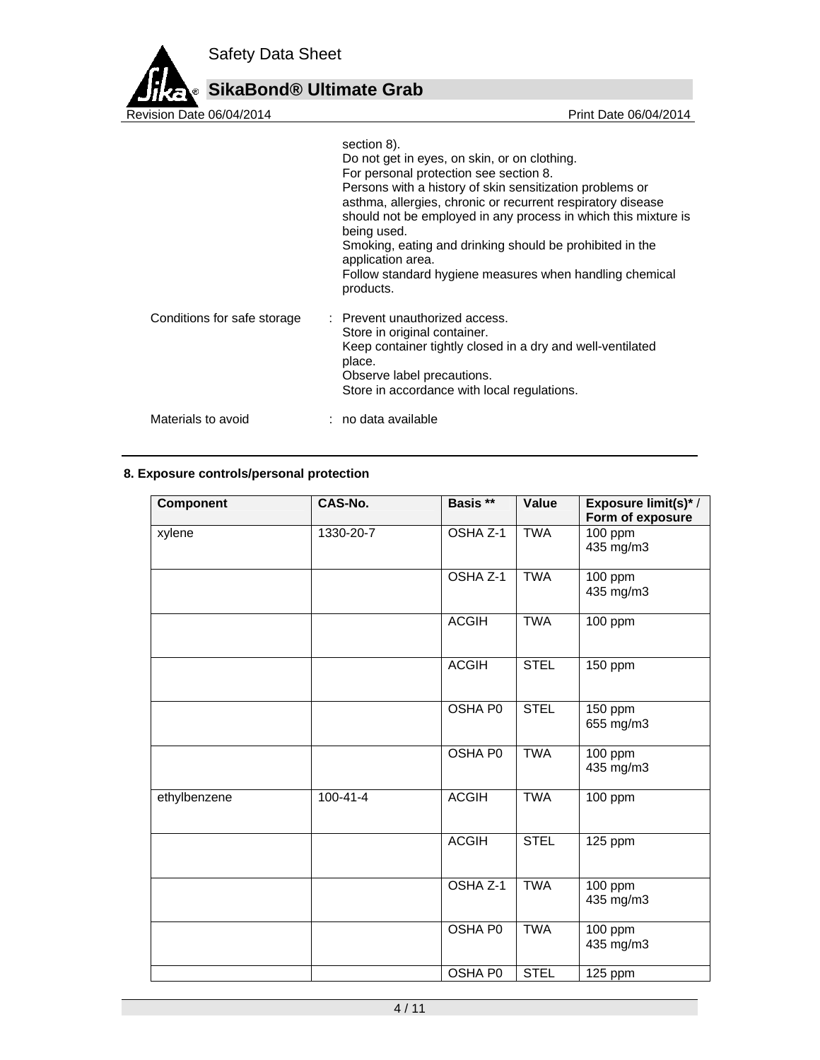

**SikaBond® Ultimate Grab**

| Revision Date 06/04/2014    | Print Date 06/04/2014                                                                                                                                                                                                                                                                                                                                                                                                                                                      |
|-----------------------------|----------------------------------------------------------------------------------------------------------------------------------------------------------------------------------------------------------------------------------------------------------------------------------------------------------------------------------------------------------------------------------------------------------------------------------------------------------------------------|
|                             | section 8).<br>Do not get in eyes, on skin, or on clothing.<br>For personal protection see section 8.<br>Persons with a history of skin sensitization problems or<br>asthma, allergies, chronic or recurrent respiratory disease<br>should not be employed in any process in which this mixture is<br>being used.<br>Smoking, eating and drinking should be prohibited in the<br>application area.<br>Follow standard hygiene measures when handling chemical<br>products. |
| Conditions for safe storage | : Prevent unauthorized access.<br>Store in original container.<br>Keep container tightly closed in a dry and well-ventilated<br>place.<br>Observe label precautions.<br>Store in accordance with local regulations.                                                                                                                                                                                                                                                        |
| Materials to avoid          | : no data available                                                                                                                                                                                                                                                                                                                                                                                                                                                        |

# **8. Exposure controls/personal protection**

| <b>Component</b> | <b>CAS-No.</b> | Basis **       | Value       | Exposure limit(s)* /<br>Form of exposure |
|------------------|----------------|----------------|-------------|------------------------------------------|
| xylene           | 1330-20-7      | OSHA Z-1       | <b>TWA</b>  | 100 ppm<br>435 mg/m3                     |
|                  |                | OSHA Z-1       | <b>TWA</b>  | 100 ppm<br>435 mg/m3                     |
|                  |                | <b>ACGIH</b>   | <b>TWA</b>  | 100 ppm                                  |
|                  |                | <b>ACGIH</b>   | <b>STEL</b> | 150 ppm                                  |
|                  |                | <b>OSHA P0</b> | <b>STEL</b> | 150 ppm<br>655 mg/m3                     |
|                  |                | <b>OSHA PO</b> | <b>TWA</b>  | 100 ppm<br>435 mg/m3                     |
| ethylbenzene     | $100 - 41 - 4$ | <b>ACGIH</b>   | <b>TWA</b>  | 100 ppm                                  |
|                  |                | <b>ACGIH</b>   | <b>STEL</b> | 125 ppm                                  |
|                  |                | OSHA Z-1       | <b>TWA</b>  | 100 ppm<br>435 mg/m3                     |
|                  |                | OSHA P0        | <b>TWA</b>  | 100 ppm<br>435 mg/m3                     |
|                  |                | <b>OSHA P0</b> | <b>STEL</b> | 125 ppm                                  |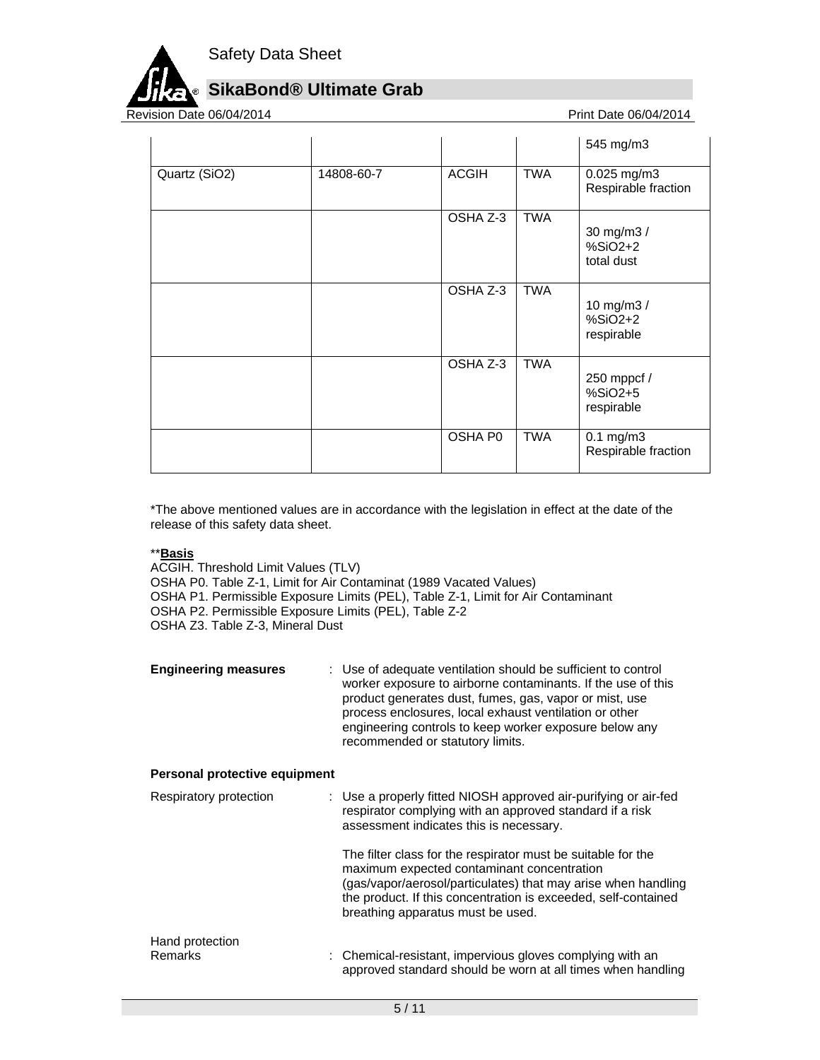

# **SikaBond® Ultimate Grab**

Revision Date 06/04/2014 **Print Date 06/04/2014** 

|               |            |              |            | 545 mg/m3                             |
|---------------|------------|--------------|------------|---------------------------------------|
| Quartz (SiO2) | 14808-60-7 | <b>ACGIH</b> | <b>TWA</b> | 0.025 mg/m3<br>Respirable fraction    |
|               |            | OSHA Z-3     | <b>TWA</b> | 30 mg/m3 /<br>$%SiO2+2$<br>total dust |
|               |            | OSHA Z-3     | <b>TWA</b> | 10 mg/m3 /<br>$%SiO2+2$<br>respirable |
|               |            | OSHA Z-3     | <b>TWA</b> | 250 mppcf /<br>%SiO2+5<br>respirable  |
|               |            | OSHA P0      | TWA        | $0.1$ mg/m $3$<br>Respirable fraction |

\*The above mentioned values are in accordance with the legislation in effect at the date of the release of this safety data sheet.

# \*\***Basis**

ACGIH. Threshold Limit Values (TLV)

OSHA P0. Table Z-1, Limit for Air Contaminat (1989 Vacated Values)

- OSHA P1. Permissible Exposure Limits (PEL), Table Z-1, Limit for Air Contaminant
- OSHA P2. Permissible Exposure Limits (PEL), Table Z-2

OSHA Z3. Table Z-3, Mineral Dust

| <b>Engineering measures</b>       | : Use of adequate ventilation should be sufficient to control<br>worker exposure to airborne contaminants. If the use of this<br>product generates dust, fumes, gas, vapor or mist, use<br>process enclosures, local exhaust ventilation or other<br>engineering controls to keep worker exposure below any<br>recommended or statutory limits. |
|-----------------------------------|-------------------------------------------------------------------------------------------------------------------------------------------------------------------------------------------------------------------------------------------------------------------------------------------------------------------------------------------------|
| Personal protective equipment     |                                                                                                                                                                                                                                                                                                                                                 |
| Respiratory protection            | : Use a properly fitted NIOSH approved air-purifying or air-fed<br>respirator complying with an approved standard if a risk<br>assessment indicates this is necessary.                                                                                                                                                                          |
|                                   | The filter class for the respirator must be suitable for the<br>maximum expected contaminant concentration<br>(gas/vapor/aerosol/particulates) that may arise when handling<br>the product. If this concentration is exceeded, self-contained<br>breathing apparatus must be used.                                                              |
| Hand protection<br><b>Remarks</b> | : Chemical-resistant, impervious gloves complying with an<br>approved standard should be worn at all times when handling                                                                                                                                                                                                                        |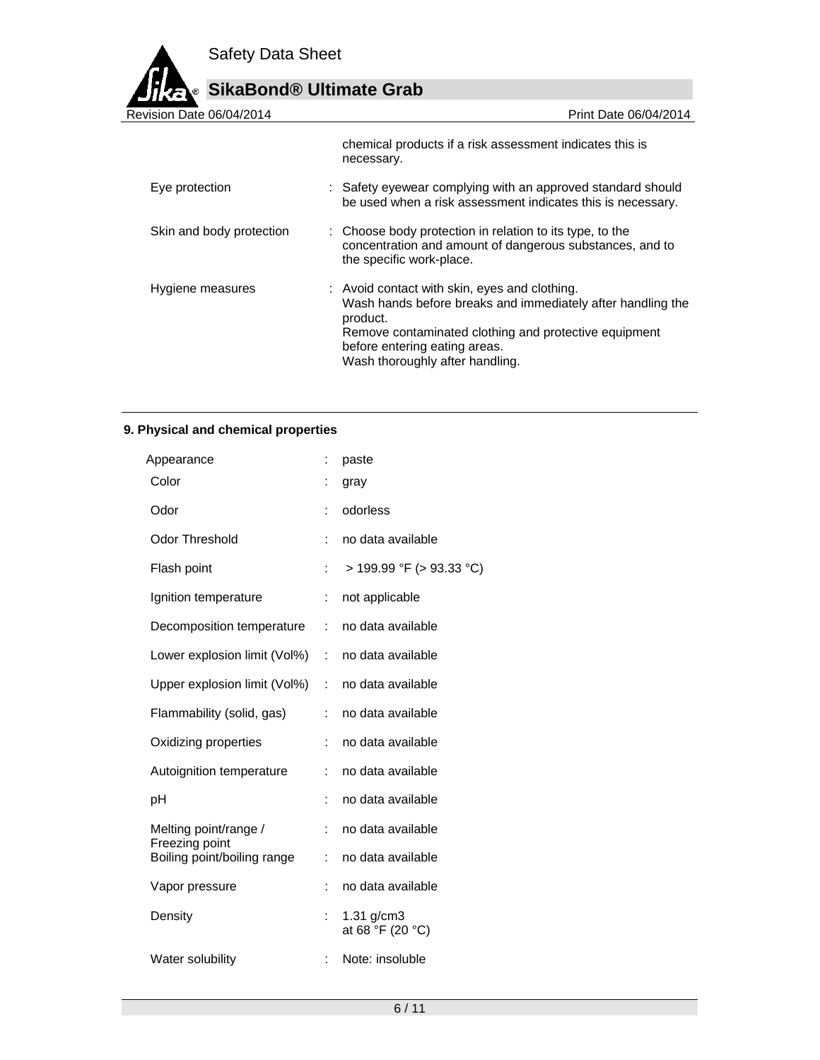

# **SikaBond® Ultimate Grab**

| Revision Date 06/04/2014 | Print Date 06/04/2014                                                                                                                                                                                                                                 |
|--------------------------|-------------------------------------------------------------------------------------------------------------------------------------------------------------------------------------------------------------------------------------------------------|
|                          | chemical products if a risk assessment indicates this is<br>necessary.                                                                                                                                                                                |
| Eye protection           | : Safety eyewear complying with an approved standard should<br>be used when a risk assessment indicates this is necessary.                                                                                                                            |
| Skin and body protection | : Choose body protection in relation to its type, to the<br>concentration and amount of dangerous substances, and to<br>the specific work-place.                                                                                                      |
| Hygiene measures         | : Avoid contact with skin, eyes and clothing.<br>Wash hands before breaks and immediately after handling the<br>product.<br>Remove contaminated clothing and protective equipment<br>before entering eating areas.<br>Wash thoroughly after handling. |

# **9. Physical and chemical properties**

| Appearance                              | ÷              | paste                               |
|-----------------------------------------|----------------|-------------------------------------|
| Color                                   | :              | gray                                |
| Odor                                    | ÷              | odorless                            |
| <b>Odor Threshold</b>                   | ÷              | no data available                   |
| Flash point                             | t              | $>$ 199.99 °F ( $>$ 93.33 °C)       |
| Ignition temperature                    | ÷              | not applicable                      |
| Decomposition temperature               | ÷              | no data available                   |
| Lower explosion limit (Vol%)            | ÷              | no data available                   |
| Upper explosion limit (Vol%)            | ÷              | no data available                   |
| Flammability (solid, gas)               | t              | no data available                   |
| Oxidizing properties                    | t              | no data available                   |
| Autoignition temperature                | $\ddot{\cdot}$ | no data available                   |
| рH                                      | İ.             | no data available                   |
| Melting point/range /<br>Freezing point | ÷              | no data available                   |
| Boiling point/boiling range             | ÷              | no data available                   |
| Vapor pressure                          | Ì.             | no data available                   |
| Density                                 | ÷              | $1.31$ g/cm $3$<br>at 68 °F (20 °C) |
| Water solubility                        | ÷              | Note: insoluble                     |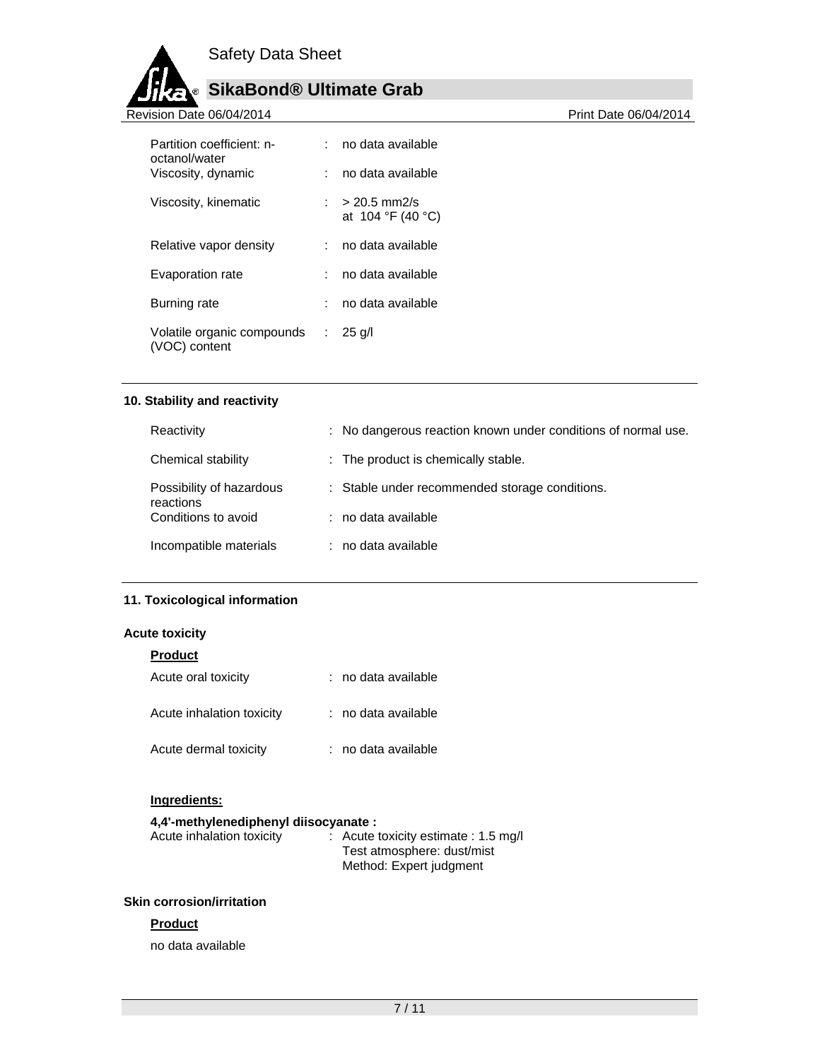

# **SikaBond® Ultimate Grab**

Revision Date 06/04/2014 **Revision Date 06/04/2014** 

| Partition coefficient: n-<br>octanol/water  | no data available                     |
|---------------------------------------------|---------------------------------------|
| Viscosity, dynamic                          | no data available                     |
| Viscosity, kinematic                        | : > 20.5 mm2/s<br>at $104 °F (40 °C)$ |
| Relative vapor density                      | no data available                     |
| Evaporation rate                            | : no data available                   |
| Burning rate                                | no data available                     |
| Volatile organic compounds<br>(VOC) content | $\therefore$ 25 g/l                   |

# **10. Stability and reactivity**

| Reactivity                            | : No dangerous reaction known under conditions of normal use. |
|---------------------------------------|---------------------------------------------------------------|
| Chemical stability                    | : The product is chemically stable.                           |
| Possibility of hazardous<br>reactions | : Stable under recommended storage conditions.                |
| Conditions to avoid                   | : no data available                                           |
| Incompatible materials                | : no data available                                           |

# **11. Toxicological information**

# **Acute toxicity**

| <b>Product</b>            |                     |
|---------------------------|---------------------|
| Acute oral toxicity       | : no data available |
| Acute inhalation toxicity | : no data available |
| Acute dermal toxicity     | : no data available |

# **Ingredients:**

# **4,4'-methylenediphenyl diisocyanate :**

| : Acute toxicity estimate : 1.5 mg/l |
|--------------------------------------|
| Test atmosphere: dust/mist           |
| Method: Expert judgment              |
|                                      |

# **Skin corrosion/irritation**

# **Product**

no data available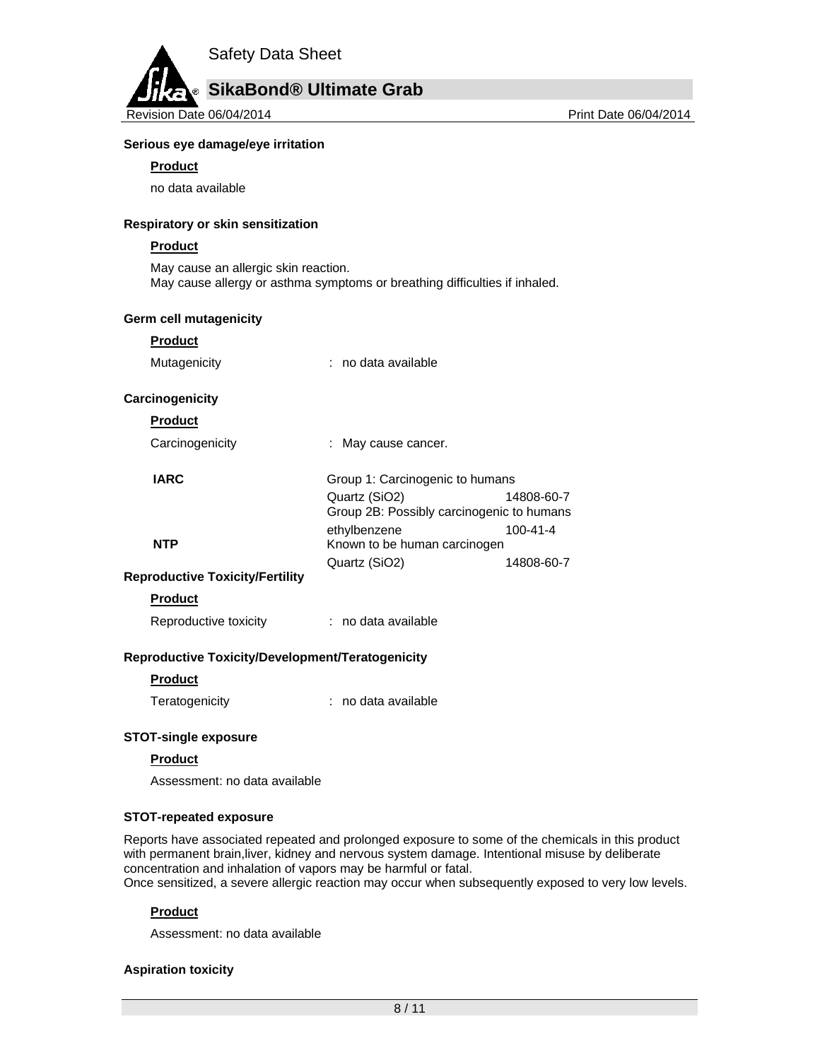

# **Serious eye damage/eye irritation**

## **Product**

no data available

## **Respiratory or skin sensitization**

#### **Product**

May cause an allergic skin reaction. May cause allergy or asthma symptoms or breathing difficulties if inhaled.

#### **Germ cell mutagenicity**

#### **Product**

Mutagenicity : no data available

#### **Carcinogenicity**

# **Product**

| Carcinogenicity | May cause cancer.                                          |            |
|-----------------|------------------------------------------------------------|------------|
| <b>IARC</b>     | Group 1: Carcinogenic to humans                            |            |
|                 | Quartz (SiO2)<br>Group 2B: Possibly carcinogenic to humans | 14808-60-7 |
| <b>NTP</b>      | ethylbenzene<br>Known to be human carcinogen               | 100-41-4   |
|                 | Quartz (SiO2)                                              | 14808-60-7 |

# **Reproductive Toxicity/Fertility**

## **Product**

Reproductive toxicity : no data available

# **Reproductive Toxicity/Development/Teratogenicity**

# **Product**

Teratogenicity : no data available

# **STOT-single exposure**

#### **Product**

Assessment: no data available

# **STOT-repeated exposure**

Reports have associated repeated and prolonged exposure to some of the chemicals in this product with permanent brain,liver, kidney and nervous system damage. Intentional misuse by deliberate concentration and inhalation of vapors may be harmful or fatal. Once sensitized, a severe allergic reaction may occur when subsequently exposed to very low levels.

# **Product**

Assessment: no data available

# **Aspiration toxicity**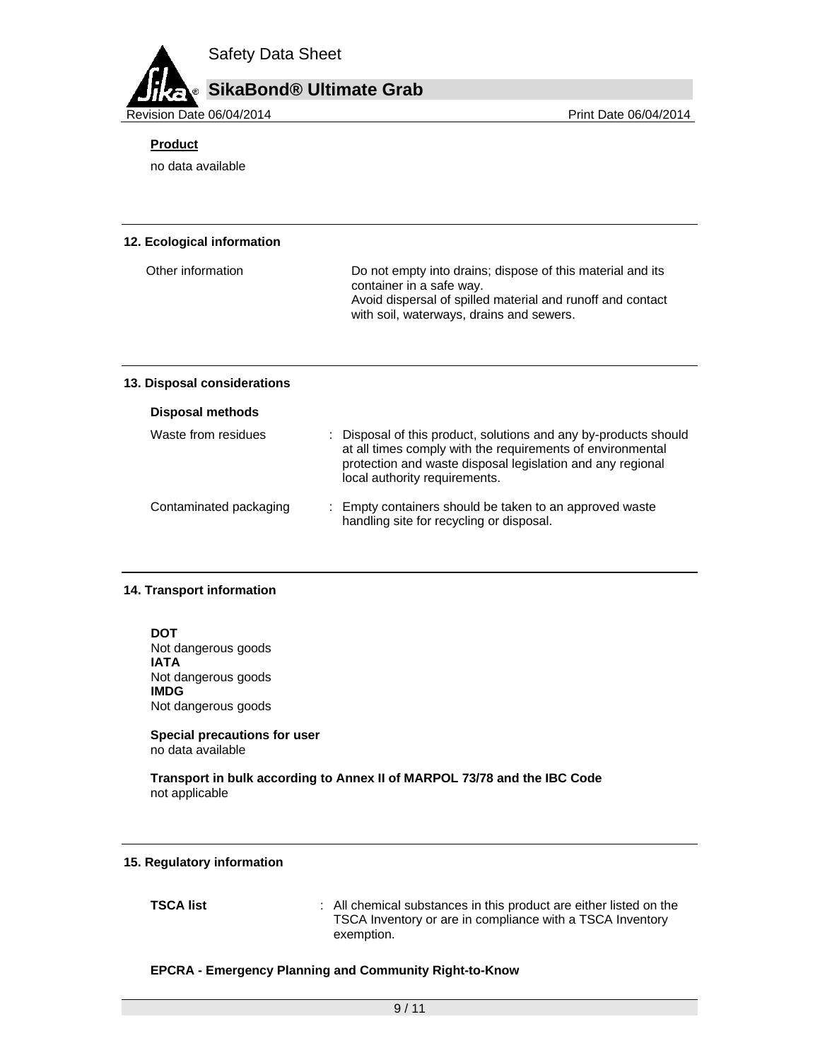# **SikaBond® Ultimate Grab**

Revision Date 06/04/2014 **Print Date 06/04/2014** Print Date 06/04/2014

# **Product**

no data available

## **12. Ecological information**

| Other information | Do not empty into drains; dispose of this material and its<br>container in a safe way.                 |
|-------------------|--------------------------------------------------------------------------------------------------------|
|                   | Avoid dispersal of spilled material and runoff and contact<br>with soil, waterways, drains and sewers. |

# **13. Disposal considerations**

| <b>Disposal methods</b> |  |
|-------------------------|--|
|-------------------------|--|

| Waste from residues    | : Disposal of this product, solutions and any by-products should<br>at all times comply with the requirements of environmental<br>protection and waste disposal legislation and any regional<br>local authority requirements. |
|------------------------|-------------------------------------------------------------------------------------------------------------------------------------------------------------------------------------------------------------------------------|
| Contaminated packaging | : Empty containers should be taken to an approved waste<br>handling site for recycling or disposal.                                                                                                                           |

# **14. Transport information**

**DOT**  Not dangerous goods **IATA**  Not dangerous goods **IMDG**  Not dangerous goods

#### **Special precautions for user** no data available

**Transport in bulk according to Annex II of MARPOL 73/78 and the IBC Code**  not applicable

# **15. Regulatory information**

**TSCA list EXECA list EXECA list EXECA list EXECA list EXECA list EXECA list EXECA list EXECA list EXECA list EXECA list EXECA list EXECA list** TSCA Inventory or are in compliance with a TSCA Inventory exemption.

# **EPCRA - Emergency Planning and Community Right-to-Know**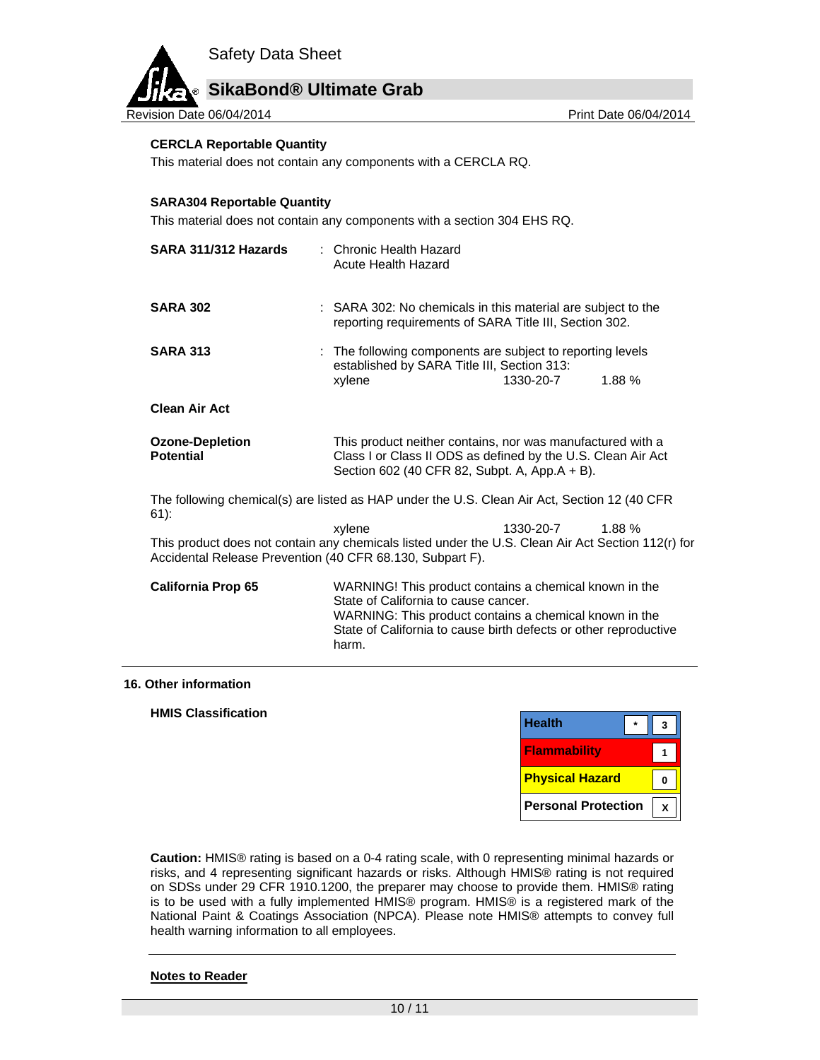# **SikaBond® Ultimate Grab**

Revision Date 06/04/2014 **Print Date 06/04/2014** Print Date 06/04/2014

## **CERCLA Reportable Quantity**

This material does not contain any components with a CERCLA RQ.

#### **SARA304 Reportable Quantity**

This material does not contain any components with a section 304 EHS RQ.

| SARA 311/312 Hazards                                      | : Chronic Health Hazard<br>Acute Health Hazard                                                                                                                                                                                        |           |       |
|-----------------------------------------------------------|---------------------------------------------------------------------------------------------------------------------------------------------------------------------------------------------------------------------------------------|-----------|-------|
| <b>SARA 302</b>                                           | : SARA 302: No chemicals in this material are subject to the<br>reporting requirements of SARA Title III, Section 302.                                                                                                                |           |       |
| <b>SARA 313</b>                                           | : The following components are subject to reporting levels<br>established by SARA Title III, Section 313:<br>xylene                                                                                                                   | 1330-20-7 | 1.88% |
| <b>Clean Air Act</b>                                      |                                                                                                                                                                                                                                       |           |       |
| <b>Ozone-Depletion</b><br><b>Potential</b>                | This product neither contains, nor was manufactured with a<br>Class I or Class II ODS as defined by the U.S. Clean Air Act<br>Section 602 (40 CFR 82, Subpt. A, App.A + B).                                                           |           |       |
| $61)$ :                                                   | The following chemical(s) are listed as HAP under the U.S. Clean Air Act, Section 12 (40 CFR                                                                                                                                          |           |       |
| Accidental Release Prevention (40 CFR 68.130, Subpart F). | xylene<br>This product does not contain any chemicals listed under the U.S. Clean Air Act Section 112(r) for                                                                                                                          | 1330-20-7 | 1.88% |
| <b>California Prop 65</b>                                 | WARNING! This product contains a chemical known in the<br>State of California to cause cancer.<br>WARNING: This product contains a chemical known in the<br>State of California to cause birth defects or other reproductive<br>harm. |           |       |

#### **16. Other information**

## **HMIS Classification**

| <b>Health</b>              |  |
|----------------------------|--|
| <b>Flammability</b>        |  |
| <b>Physical Hazard</b>     |  |
| <b>Personal Protection</b> |  |

**Caution:** HMIS® rating is based on a 0-4 rating scale, with 0 representing minimal hazards or risks, and 4 representing significant hazards or risks. Although HMIS® rating is not required on SDSs under 29 CFR 1910.1200, the preparer may choose to provide them. HMIS® rating is to be used with a fully implemented HMIS® program. HMIS® is a registered mark of the National Paint & Coatings Association (NPCA). Please note HMIS® attempts to convey full health warning information to all employees.

#### **Notes to Reader**